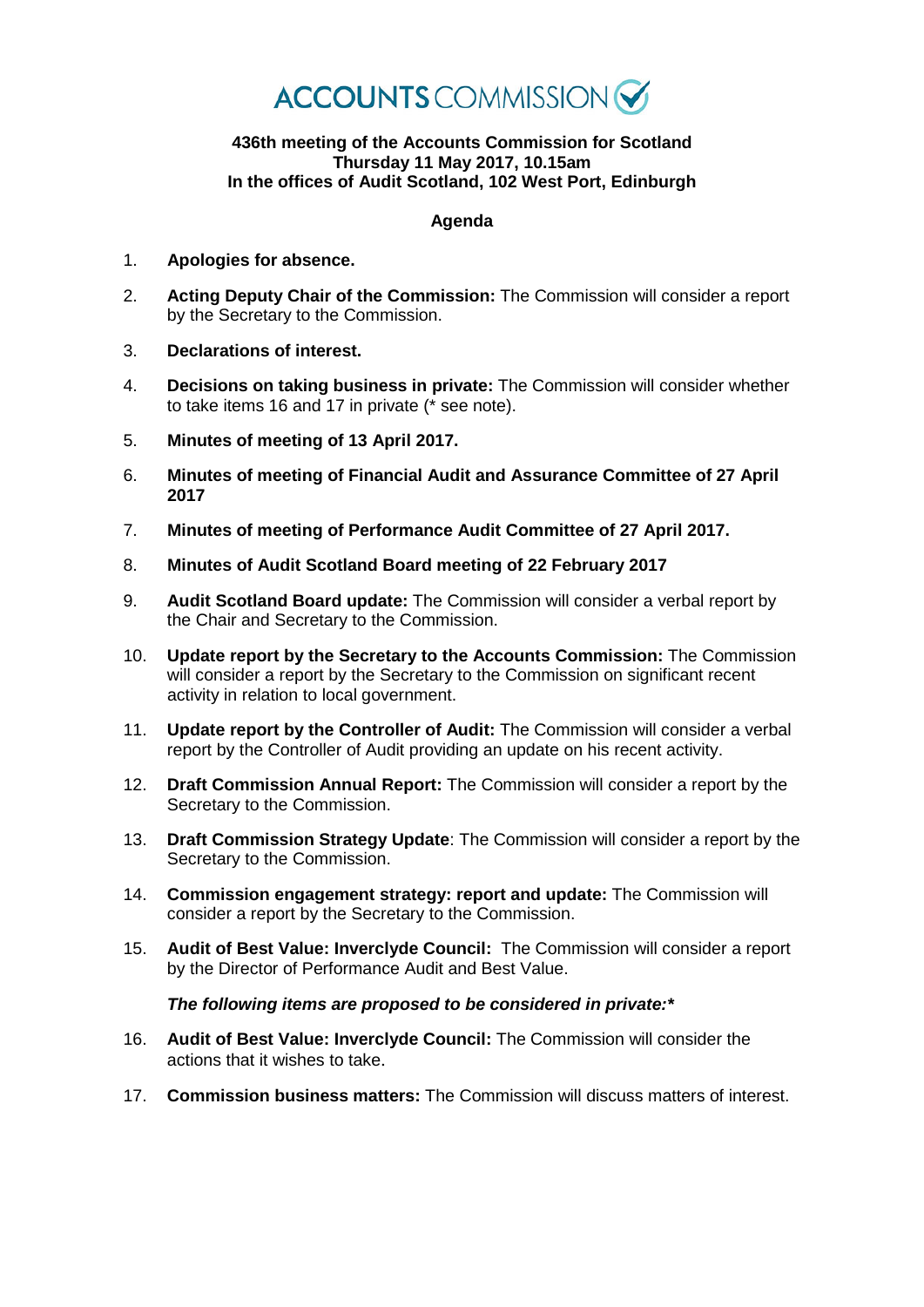

## **436th meeting of the Accounts Commission for Scotland Thursday 11 May 2017, 10.15am In the offices of Audit Scotland, 102 West Port, Edinburgh**

## **Agenda**

- 1. **Apologies for absence.**
- 2. **Acting Deputy Chair of the Commission:** The Commission will consider a report by the Secretary to the Commission.
- 3. **Declarations of interest.**
- 4. **Decisions on taking business in private:** The Commission will consider whether to take items 16 and 17 in private (\* see note).
- 5. **Minutes of meeting of 13 April 2017.**
- 6. **Minutes of meeting of Financial Audit and Assurance Committee of 27 April 2017**
- 7. **Minutes of meeting of Performance Audit Committee of 27 April 2017.**
- 8. **Minutes of Audit Scotland Board meeting of 22 February 2017**
- 9. **Audit Scotland Board update:** The Commission will consider a verbal report by the Chair and Secretary to the Commission.
- 10. **Update report by the Secretary to the Accounts Commission:** The Commission will consider a report by the Secretary to the Commission on significant recent activity in relation to local government.
- 11. **Update report by the Controller of Audit:** The Commission will consider a verbal report by the Controller of Audit providing an update on his recent activity.
- 12. **Draft Commission Annual Report:** The Commission will consider a report by the Secretary to the Commission.
- 13. **Draft Commission Strategy Update**: The Commission will consider a report by the Secretary to the Commission.
- 14. **Commission engagement strategy: report and update:** The Commission will consider a report by the Secretary to the Commission.
- 15. **Audit of Best Value: Inverclyde Council:** The Commission will consider a report by the Director of Performance Audit and Best Value.

## *The following items are proposed to be considered in private:\**

- 16. **Audit of Best Value: Inverclyde Council:** The Commission will consider the actions that it wishes to take.
- 17. **Commission business matters:** The Commission will discuss matters of interest.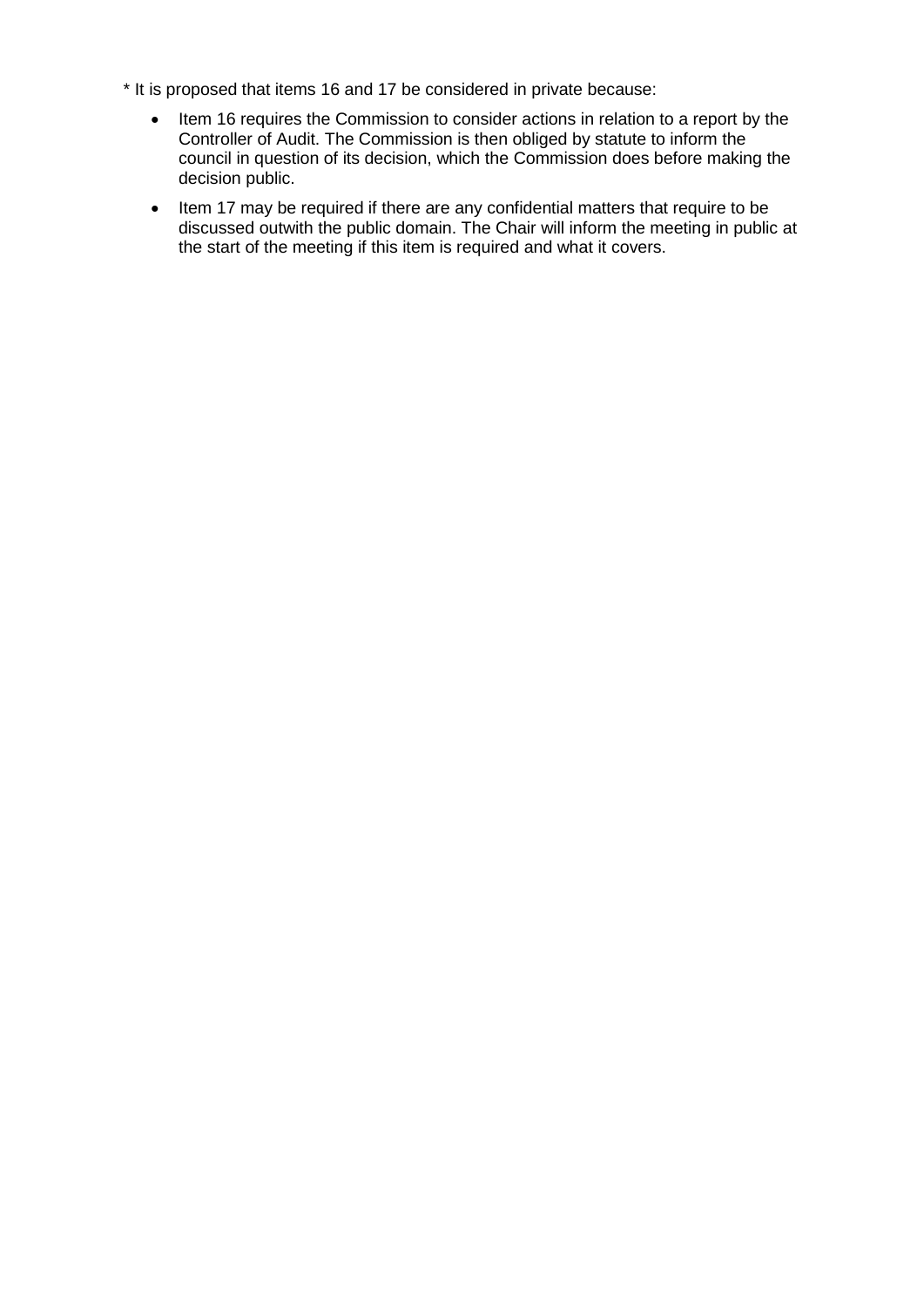- \* It is proposed that items 16 and 17 be considered in private because:
	- Item 16 requires the Commission to consider actions in relation to a report by the Controller of Audit. The Commission is then obliged by statute to inform the council in question of its decision, which the Commission does before making the decision public.
	- Item 17 may be required if there are any confidential matters that require to be discussed outwith the public domain. The Chair will inform the meeting in public at the start of the meeting if this item is required and what it covers.